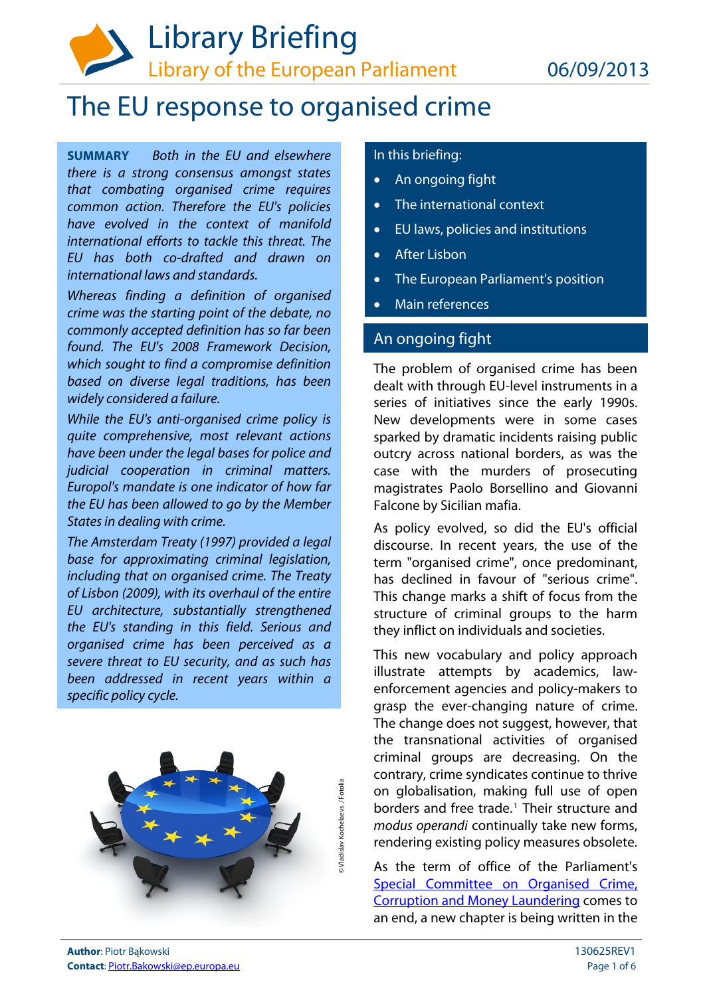

# The EU response to organised crime

**SUMMARY** Both in the EU and elsewhere there is a strong consensus amongst states that combating organised crime requires common action. Therefore the EU's policies have evolved in the context of manifold international efforts to tackle this threat. The EU has both co-drafted and drawn on international laws and standards.

Whereas finding a definition of organised crime was the starting point of the debate, no commonly accepted definition has so far been found. The EU's 2008 Framework Decision, which sought to find a compromise definition based on diverse legal traditions, has been widely considered a failure.

While the EU's anti-organised crime policy is quite comprehensive, most relevant actions have been under the legal bases for police and judicial cooperation in criminal matters. Europol's mandate is one indicator of how far the EU has been allowed to go by the Member States in dealing with crime.

The Amsterdam Treaty (1997) provided a legal base for approximating criminal legislation, including that on organised crime. The Treaty of Lisbon (2009), with its overhaul of the entire EU architecture, substantially strengthened the EU's standing in this field. Serious and organised crime has been perceived as a severe threat to EU security, and as such has been addressed in recent years within a specific policy cycle.



## In this briefing:

- An ongoing fight
- The international context
- EU laws, policies and institutions
- After Lisbon
- The European Parliament's position
- Main references

## An ongoing fight

The problem of organised crime has been dealt with through EU-level instruments in a series of initiatives since the early 1990s. New developments were in some cases sparked by dramatic incidents raising public outcry across national borders, as was the case with the murders of prosecuting magistrates Paolo Borsellino and Giovanni Falcone by Sicilian mafia.

As policy evolved, so did the EU's official discourse. In recent years, the use of the term "organised crime", once predominant, has declined in favour of "serious crime". This change marks a shift of focus from the structure of criminal groups to the harm they inflict on individuals and societies.

This new vocabulary and policy approach illustrate attempts by academics, lawenforcement agencies and policy-makers to grasp the ever-changing nature of crime. The change does not suggest, however, that the transnational activities of organised criminal groups are decreasing. On the contrary, crime syndicates continue to thrive on globalisation, making full use of open borders and free trade.<sup>[1](#page-5-0)</sup> Their structure and modus operandi continually take new forms, rendering existing policy measures obsolete.

As the term of office of the Parliament's Special Committee on Organised Crime, [Corruption and Money Laundering](http://www.europarl.europa.eu/committees/en/crim/home.html) comes to an end, a new chapter is being written in the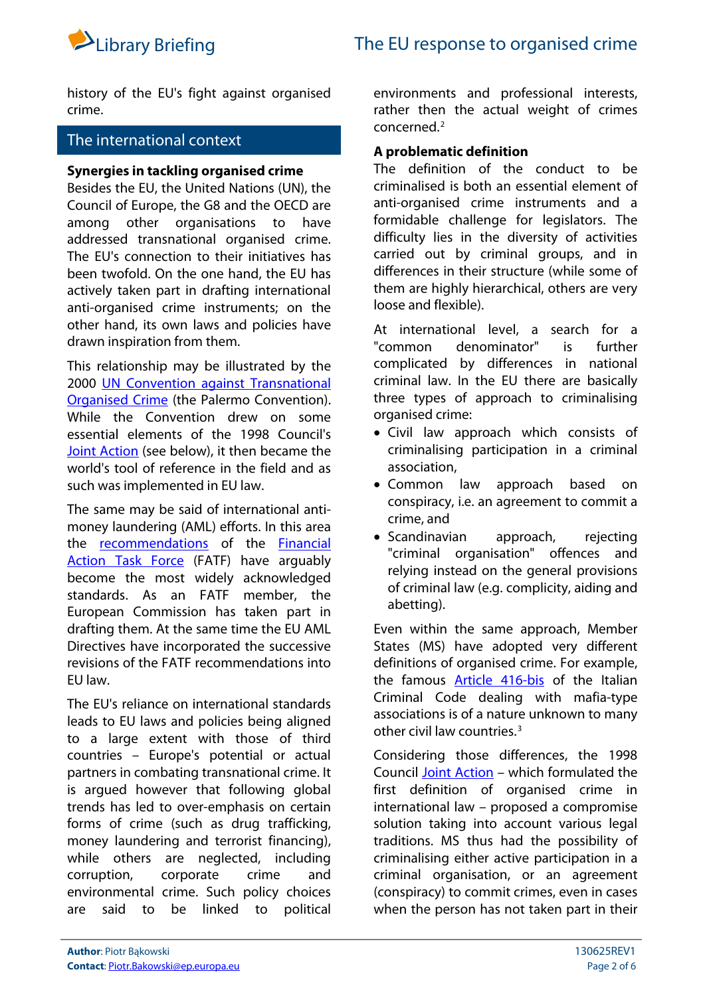

history of the EU's fight against organised crime.

## The international context

#### **Synergies in tackling organised crime**

Besides the EU, the United Nations (UN), the Council of Europe, the G8 and the OECD are among other organisations to have addressed transnational organised crime. The EU's connection to their initiatives has been twofold. On the one hand, the EU has actively taken part in drafting international anti-organised crime instruments; on the other hand, its own laws and policies have drawn inspiration from them.

This relationship may be illustrated by the 2000 [UN Convention against Transnational](https://www.unodc.org/unodc/en/treaties/CTOC/)  [Organised Crime](https://www.unodc.org/unodc/en/treaties/CTOC/) (the Palermo Convention). While the Convention drew on some essential elements of the 1998 Council's [Joint Action](http://eur-lex.europa.eu/LexUriServ/LexUriServ.do?uri=CELEX:31998F0733:EN:NOT) (see below), it then became the world's tool of reference in the field and as such was implemented in EU law.

The same may be said of international antimoney laundering (AML) efforts. In this area the **[recommendations](http://www.fatf-gafi.org/topics/fatfrecommendations/)** of the **Financial** [Action Task Force](http://www.fatf-gafi.org/) (FATF) have arquably become the most widely acknowledged standards. As an FATF member, the European Commission has taken part in drafting them. At the same time the EU AML Directives have incorporated the successive revisions of the FATF recommendations into EU law.

The EU's reliance on international standards leads to EU laws and policies being aligned to a large extent with those of third countries – Europe's potential or actual partners in combating transnational crime. It is argued however that following global trends has led to over-emphasis on certain forms of crime (such as drug trafficking, money laundering and terrorist financing), while others are neglected, including corruption, corporate crime and environmental crime. Such policy choices are said to be linked to political

environments and professional interests, rather then the actual weight of crimes concerned.[2](#page-5-1)

## **A problematic definition**

The definition of the conduct to be criminalised is both an essential element of anti-organised crime instruments and a formidable challenge for legislators. The difficulty lies in the diversity of activities carried out by criminal groups, and in differences in their structure (while some of them are highly hierarchical, others are very loose and flexible).

At international level, a search for a "common denominator" is further complicated by differences in national criminal law. In the EU there are basically three types of approach to criminalising organised crime:

- Civil law approach which consists of criminalising participation in a criminal association,
- Common law approach based on conspiracy, i.e. an agreement to commit a crime, and
- Scandinavian approach, rejecting "criminal organisation" offences and relying instead on the general provisions of criminal law (e.g. complicity, aiding and abetting).

Even within the same approach, Member States (MS) have adopted very different definitions of organised crime. For example, the famous [Article 416-bis](http://www.unafei.or.jp/english/pdf/RS_No73/No73_10VE_Turone.pdf) of the Italian Criminal Code dealing with mafia-type associations is of a nature unknown to many other civil law countries.<sup>[3](#page-5-2)</sup>

Considering those differences, the 1998 Council [Joint Action](http://eur-lex.europa.eu/LexUriServ/LexUriServ.do?uri=CELEX:31998F0733:EN:NOT) – which formulated the first definition of organised crime in international law – proposed a compromise solution taking into account various legal traditions. MS thus had the possibility of criminalising either active participation in a criminal organisation, or an agreement (conspiracy) to commit crimes, even in cases when the person has not taken part in their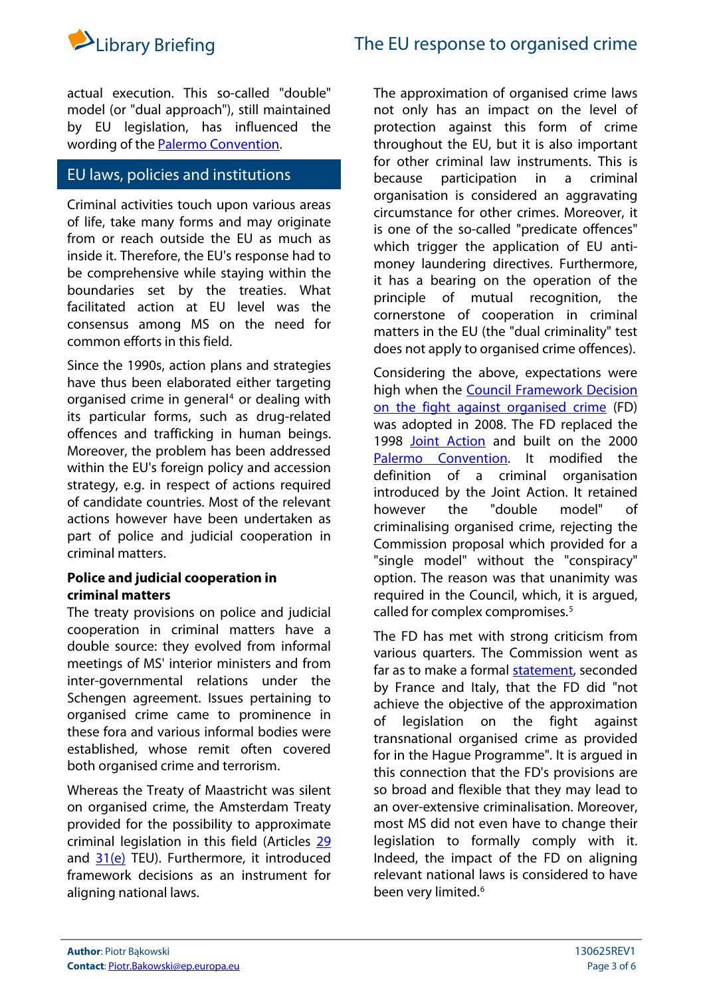

actual execution. This so-called "double" model (or "dual approach"), still maintained by EU legislation, has influenced the wording of the [Palermo Convention](https://www.unodc.org/unodc/en/treaties/CTOC/).

## EU laws, policies and institutions

Criminal activities touch upon various areas of life, take many forms and may originate from or reach outside the EU as much as inside it. Therefore, the EU's response had to be comprehensive while staying within the boundaries set by the treaties. What facilitated action at EU level was the consensus among MS on the need for common efforts in this field.

Since the 1990s, action plans and strategies have thus been elaborated either targeting organised crime in general<sup>[4](#page-5-3)</sup> or dealing with its particular forms, such as drug-related offences and trafficking in human beings. Moreover, the problem has been addressed within the EU's foreign policy and accession strategy, e.g. in respect of actions required of candidate countries. Most of the relevant actions however have been undertaken as part of police and judicial cooperation in criminal matters.

## **Police and judicial cooperation in criminal matters**

The treaty provisions on police and judicial cooperation in criminal matters have a double source: they evolved from informal meetings of MS' interior ministers and from inter-governmental relations under the Schengen agreement. Issues pertaining to organised crime came to prominence in these fora and various informal bodies were established, whose remit often covered both organised crime and terrorism.

Whereas the Treaty of Maastricht was silent on organised crime, the Amsterdam Treaty provided for the possibility to approximate criminal legislation in this field (Articles [29](http://eur-lex.europa.eu/LexUriServ/LexUriServ.do?uri=OJ:C:1997:340:FULL:EN:PDF#page=166) and  $31(e)$  TEU). Furthermore, it introduced framework decisions as an instrument for aligning national laws.

The approximation of organised crime laws not only has an impact on the level of protection against this form of crime throughout the EU, but it is also important for other criminal law instruments. This is because participation in a criminal organisation is considered an aggravating circumstance for other crimes. Moreover, it is one of the so-called "predicate offences" which trigger the application of EU antimoney laundering directives. Furthermore, it has a bearing on the operation of the principle of mutual recognition, the cornerstone of cooperation in criminal matters in the EU (the "dual criminality" test does not apply to organised crime offences).

Considering the above, expectations were high when the [Council Framework Decision](http://eur-lex.europa.eu/LexUriServ/LexUriServ.do?uri=CELEX:32008F0841:EN:NOT)  [on the fight against organised crime](http://eur-lex.europa.eu/LexUriServ/LexUriServ.do?uri=CELEX:32008F0841:EN:NOT) (FD) was adopted in 2008. The FD replaced the 1998 [Joint Action](http://eur-lex.europa.eu/LexUriServ/LexUriServ.do?uri=CELEX:31998F0733:EN:NOT) and built on the 2000 [Palermo Convention.](https://www.unodc.org/unodc/en/treaties/CTOC/) It modified the definition of a criminal organisation introduced by the Joint Action. It retained however the "double model" of criminalising organised crime, rejecting the Commission proposal which provided for a "single model" without the "conspiracy" option. The reason was that unanimity was required in the Council, which, it is argued, called for complex compromises.<sup>[5](#page-5-4)</sup>

The FD has met with strong criticism from various quarters. The Commission went as far as to make a formal [statement](http://register.consilium.europa.eu/pdf/en/06/st09/st09067.en06.pdf#page=12), seconded by France and Italy, that the FD did "not achieve the objective of the approximation of legislation on the fight against transnational organised crime as provided for in the Hague Programme". It is argued in this connection that the FD's provisions are so broad and flexible that they may lead to an over-extensive criminalisation. Moreover, most MS did not even have to change their legislation to formally comply with it. Indeed, the impact of the FD on aligning relevant national laws is considered to have been very limited.<sup>[6](#page-5-5)</sup>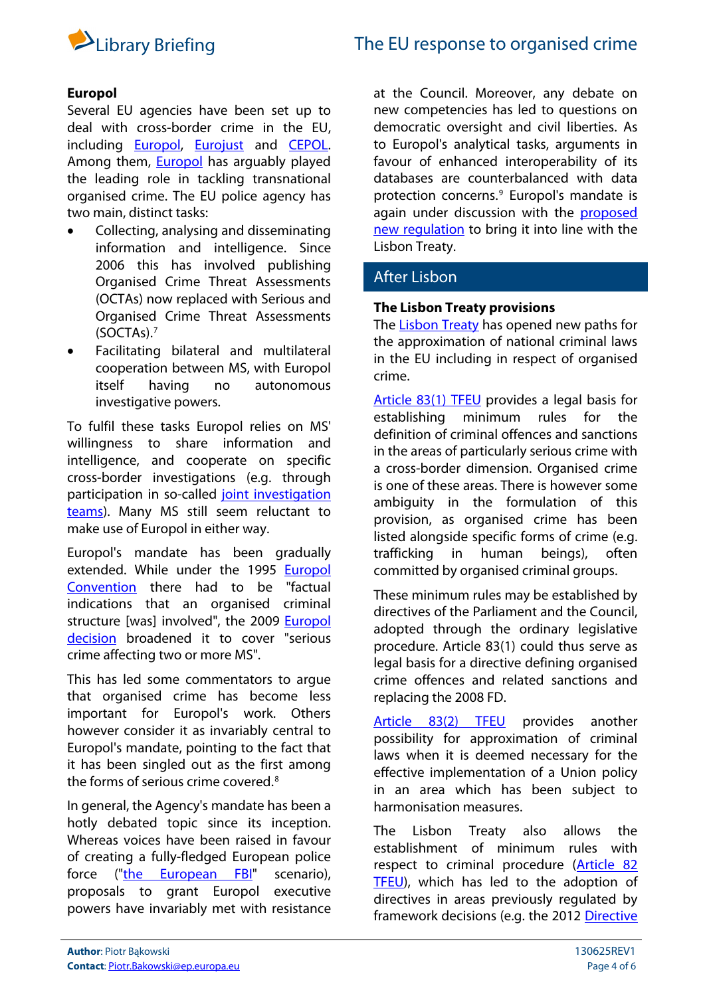

## **Europol**

Several EU agencies have been set up to deal with cross-border crime in the EU, including [Europol,](https://www.europol.europa.eu/) [Eurojust](http://eurojust.europa.eu/Pages/home.aspx) and [CEPOL](https://www.cepol.europa.eu/index.php?id=home0). Among them, [Europol](https://www.europol.europa.eu/) has arguably played the leading role in tackling transnational organised crime. The EU police agency has two main, distinct tasks:

- Collecting, analysing and disseminating information and intelligence. Since 2006 this has involved publishing Organised Crime Threat Assessments (OCTAs) now replaced with Serious and Organised Crime Threat Assessments (SOCTAs).[7](#page-5-6)
- Facilitating bilateral and multilateral cooperation between MS, with Europol itself having no autonomous investigative powers.

To fulfil these tasks Europol relies on MS' willingness to share information and intelligence, and cooperate on specific cross-border investigations (e.g. through participation in so-called [joint investigation](https://www.europol.europa.eu/content/page/joint-investigation-teams-989)  [teams](https://www.europol.europa.eu/content/page/joint-investigation-teams-989)). Many MS still seem reluctant to make use of Europol in either way.

Europol's mandate has been gradually extended. While under the 1995 [Europol](http://eur-lex.europa.eu/LexUriServ/LexUriServ.do?uri=CELEX:41995A1127(01):EN:HTML)  [Convention](http://eur-lex.europa.eu/LexUriServ/LexUriServ.do?uri=CELEX:41995A1127(01):EN:HTML) there had to be "factual indications that an organised criminal structure [was] involved", the 2009 **Europol** [decision](http://eur-lex.europa.eu/LexUriServ/LexUriServ.do?uri=CELEX:32009D0371:EN:NOT) broadened it to cover "serious crime affecting two or more MS".

This has led some commentators to argue that organised crime has become less important for Europol's work. Others however consider it as invariably central to Europol's mandate, pointing to the fact that it has been singled out as the first among the forms of serious crime covered.[8](#page-5-7)

In general, the Agency's mandate has been a hotly debated topic since its inception. Whereas voices have been raised in favour of creating a fully-fledged European police force (["the European FBI](http://www.euromove.org.uk/fileadmin/files_euromove/downloads/PP6.pdf)" scenario), proposals to grant Europol executive powers have invariably met with resistance at the Council. Moreover, any debate on new competencies has led to questions on democratic oversight and civil liberties. As to Europol's analytical tasks, arguments in favour of enhanced interoperability of its databases are counterbalanced with data protection concerns.<sup>[9](#page-5-8)</sup> Europol's mandate is again under discussion with the **proposed** [new regulation](http://www.oeil.ep.parl.union.eu/oeil/popups/ficheprocedure.do?reference=2013/0091(COD)&l=en) to bring it into line with the Lisbon Treaty.

## After Lisbon

## **The Lisbon Treaty provisions**

The [Lisbon Treaty](http://eur-lex.europa.eu/LexUriServ/LexUriServ.do?uri=CELEX:12007L/TXT:EN:NOT) has opened new paths for the approximation of national criminal laws in the EU including in respect of organised crime.

[Article 83\(1\) TFEU](http://eur-lex.europa.eu/LexUriServ/LexUriServ.do?uri=OJ:C:2012:326:FULL:EN:PDF#page=82) provides a legal basis for establishing minimum rules for the definition of criminal offences and sanctions in the areas of particularly serious crime with a cross-border dimension. Organised crime is one of these areas. There is however some ambiguity in the formulation of this provision, as organised crime has been listed alongside specific forms of crime (e.g. trafficking in human beings), often committed by organised criminal groups.

These minimum rules may be established by directives of the Parliament and the Council, adopted through the ordinary legislative procedure. Article 83(1) could thus serve as legal basis for a directive defining organised crime offences and related sanctions and replacing the 2008 FD.

[Article 83\(2\) TFEU](http://eur-lex.europa.eu/LexUriServ/LexUriServ.do?uri=OJ:C:2012:326:FULL:EN:PDF#page=83) provides another possibility for approximation of criminal laws when it is deemed necessary for the effective implementation of a Union policy in an area which has been subject to harmonisation measures.

The Lisbon Treaty also allows the establishment of minimum rules with respect to criminal procedure ([Article 82](http://eur-lex.europa.eu/LexUriServ/LexUriServ.do?uri=OJ:C:2012:326:FULL:EN:PDF#page=82)  [TFEU](http://eur-lex.europa.eu/LexUriServ/LexUriServ.do?uri=OJ:C:2012:326:FULL:EN:PDF#page=82)), which has led to the adoption of directives in areas previously regulated by framework decisions (e.g. the 2012 [Directive](http://eur-lex.europa.eu/LexUriServ/LexUriServ.do?uri=CELEX:32012L0029:en:NOT)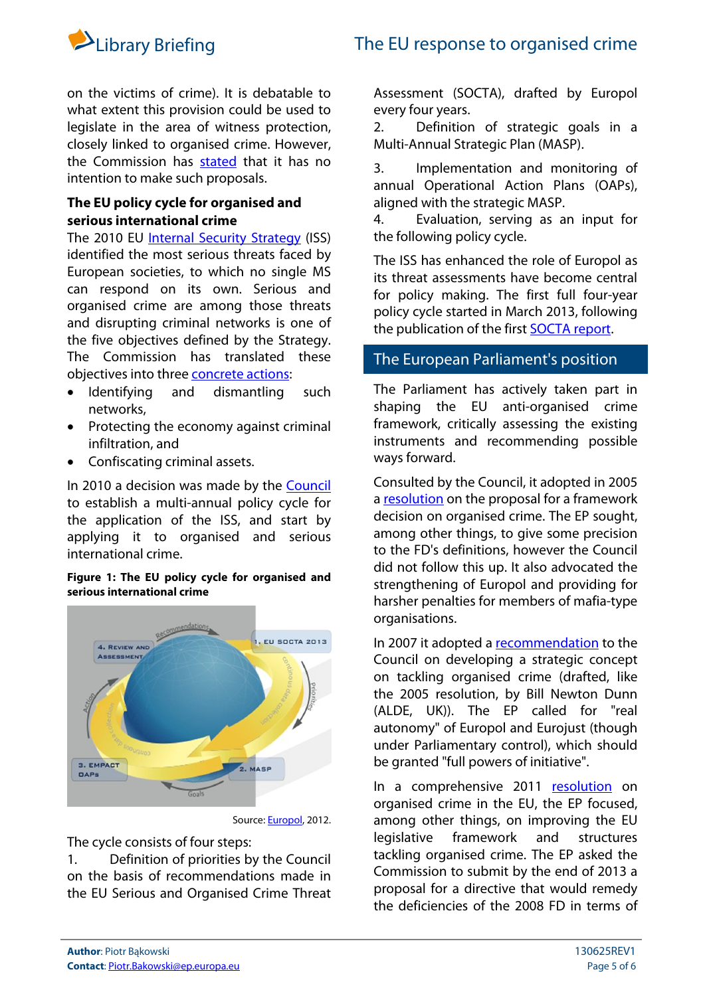

on the victims of crime). It is debatable to what extent this provision could be used to legislate in the area of witness protection, closely linked to organised crime. However, the Commission has [stated](http://www.europarl.europa.eu/sides/getAllAnswers.do?reference=E-2009-5092&language=EN) that it has no intention to make such proposals.

## **The EU policy cycle for organised and serious international crime**

The 2010 EU [Internal Security Strategy](http://ec.europa.eu/dgs/home-affairs/what-we-do/policies/internal-security/internal-security-strategy/index_en.htm) (ISS) identified the most serious threats faced by European societies, to which no single MS can respond on its own. Serious and organised crime are among those threats and disrupting criminal networks is one of the five objectives defined by the Strategy. The Commission has translated these objectives into three [concrete actions](http://eur-lex.europa.eu/LexUriServ/LexUriServ.do?uri=COM:2010:0673:FIN:EN:PDF#page=6):

- Identifying and dismantling such networks,
- Protecting the economy against criminal infiltration, and
- Confiscating criminal assets.

In 2010 a decision was made by the [Council](http://www.consilium.europa.eu/uedocs/cms_data/docs/pressdata/en/jha/117583.pdf) to establish a multi-annual policy cycle for the application of the ISS, and start by applying it to organised and serious international crime.

## **Figure 1: The EU policy cycle for organised and serious international crime**



Source: [Europol](https://www.europol.europa.eu/sites/default/files/publications/eu_policy_cycle__socta__empact.pdf), 2012.

The cycle consists of four steps:

1. Definition of priorities by the Council on the basis of recommendations made in the EU Serious and Organised Crime Threat

Assessment (SOCTA), drafted by Europol every four years.

2. Definition of strategic goals in a Multi-Annual Strategic Plan (MASP).

3. Implementation and monitoring of annual Operational Action Plans (OAPs), aligned with the strategic MASP.

4. Evaluation, serving as an input for the following policy cycle.

The ISS has enhanced the role of Europol as its threat assessments have become central for policy making. The first full four-year policy cycle started in March 2013, following the publication of the first [SOCTA report](https://www.europol.europa.eu/content/eu-serious-and-organised-crime-threat-assessment-socta).

## The European Parliament's position

The Parliament has actively taken part in shaping the EU anti-organised crime framework, critically assessing the existing instruments and recommending possible ways forward.

Consulted by the Council, it adopted in 2005 a [resolution](http://www.europarl.europa.eu/sides/getDoc.do?type=TA&language=EN&reference=P6-TA-2005-405) on the proposal for a framework decision on organised crime. The EP sought, among other things, to give some precision to the FD's definitions, however the Council did not follow this up. It also advocated the strengthening of Europol and providing for harsher penalties for members of mafia-type organisations.

In 2007 it adopted a [recommendation](http://www.europarl.europa.eu/sides/getDoc.do?type=TA&language=EN&reference=P6-TA-2007-213) to the Council on developing a strategic concept on tackling organised crime (drafted, like the 2005 resolution, by Bill Newton Dunn (ALDE, UK)). The EP called for "real autonomy" of Europol and Eurojust (though under Parliamentary control), which should be granted "full powers of initiative".

In a comprehensive 2011 [resolution](http://www.europarl.europa.eu/sides/getDoc.do?type=TA&language=EN&reference=P7-TA-2011-459) on organised crime in the EU, the EP focused, among other things, on improving the EU legislative framework and structures tackling organised crime. The EP asked the Commission to submit by the end of 2013 a proposal for a directive that would remedy the deficiencies of the 2008 FD in terms of